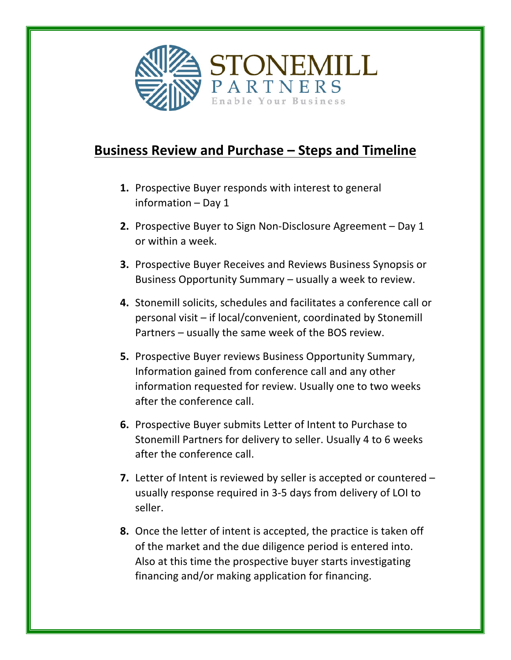

## **Business Review and Purchase - Steps and Timeline**

- **1.** Prospective Buyer responds with interest to general information  $-$  Day 1
- **2.** Prospective Buyer to Sign Non-Disclosure Agreement Day 1 or within a week.
- **3.** Prospective Buyer Receives and Reviews Business Synopsis or Business Opportunity Summary – usually a week to review.
- **4.** Stonemill solicits, schedules and facilitates a conference call or personal visit  $-$  if local/convenient, coordinated by Stonemill Partners – usually the same week of the BOS review.
- **5.** Prospective Buyer reviews Business Opportunity Summary, Information gained from conference call and any other information requested for review. Usually one to two weeks after the conference call.
- **6.** Prospective Buyer submits Letter of Intent to Purchase to Stonemill Partners for delivery to seller. Usually 4 to 6 weeks after the conference call.
- **7.** Letter of Intent is reviewed by seller is accepted or countered usually response required in 3-5 days from delivery of LOI to seller.
- **8.** Once the letter of intent is accepted, the practice is taken off of the market and the due diligence period is entered into. Also at this time the prospective buyer starts investigating financing and/or making application for financing.